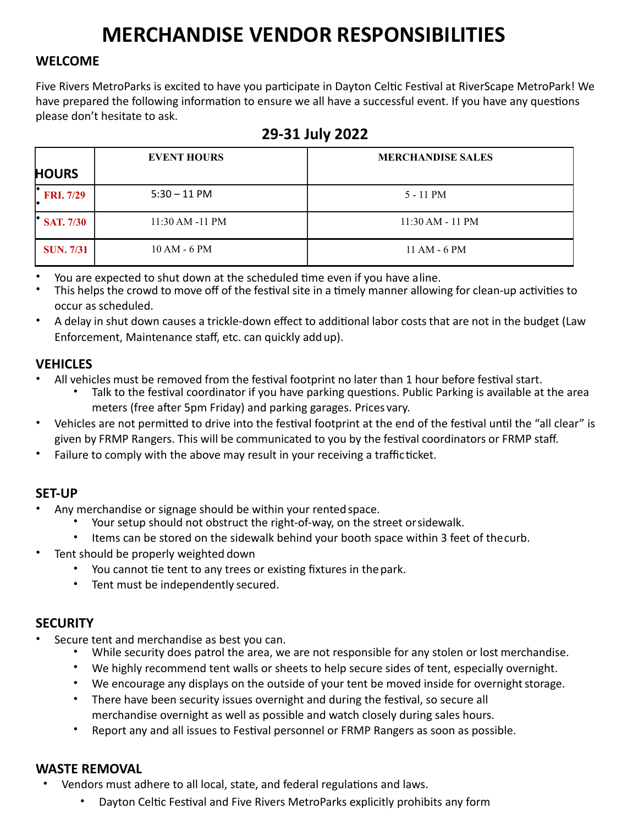## **MERCHANDISE VENDOR RESPONSIBILITIES**

#### **WELCOME**

Five Rivers MetroParks is excited to have you participate in Dayton Celtic Festival at RiverScape MetroPark! We have prepared the following information to ensure we all have a successful event. If you have any questions please don't hesitate to ask.

|                  | <b>EVENT HOURS</b>  | <b>MERCHANDISE SALES</b> |
|------------------|---------------------|--------------------------|
| <b>HOURS</b>     |                     |                          |
| <b>FRI.</b> 7/29 | $5:30 - 11$ PM      | 5 - 11 PM                |
| <b>SAT. 7/30</b> | $11:30$ AM $-11$ PM | $11:30 AM - 11 PM$       |
| <b>SUN. 7/31</b> | $10 AM - 6 PM$      | $11 AM - 6 PM$           |

### **29-31 July 2022**

- You are expected to shut down at the scheduled time even if you have aline.
- This helps the crowd to move off of the festival site in a timely manner allowing for clean-up activities to occur asscheduled.
- A delay in shut down causes a trickle-down effect to additional labor coststhat are not in the budget (Law Enforcement, Maintenance staff, etc. can quickly addup).

#### **VEHICLES**

- All vehicles must be removed from the festival footprint no later than 1 hour before festival start.
	- Talk to the festival coordinator if you have parking questions. Public Parking is available at the area meters (free after 5pm Friday) and parking garages. Prices vary.
- Vehicles are not permitted to drive into the festival footprint at the end of the festival until the "all clear" is given by FRMP Rangers. This will be communicated to you by the festival coordinators or FRMP staff.
- Failure to comply with the above may result in your receiving a trafficticket.

#### **SET-UP**

- Any merchandise or signage should be within your rented space.
	- Your setup should not obstruct the right-of-way, on the street orsidewalk.
	- Items can be stored on the sidewalk behind your booth space within 3 feet of thecurb.
- Tent should be properly weighted down
	- You cannot tie tent to any trees or existing fixtures in the park.
	- Tent must be independently secured.

#### **SECURITY**

- Secure tent and merchandise as best you can.
	- While security does patrol the area, we are not responsible for any stolen or lost merchandise.
	- We highly recommend tent walls or sheets to help secure sides of tent, especially overnight.
	- We encourage any displays on the outside of your tent be moved inside for overnight storage.
	- There have been security issues overnight and during the festival, so secure all merchandise overnight as well as possible and watch closely during sales hours.
	- Report any and all issues to Festival personnel or FRMP Rangers as soon as possible.

#### **WASTE REMOVAL**

- Vendors must adhere to all local, state, and federal regulations and laws.
	- Dayton Celtic Festival and Five Rivers MetroParks explicitly prohibits any form